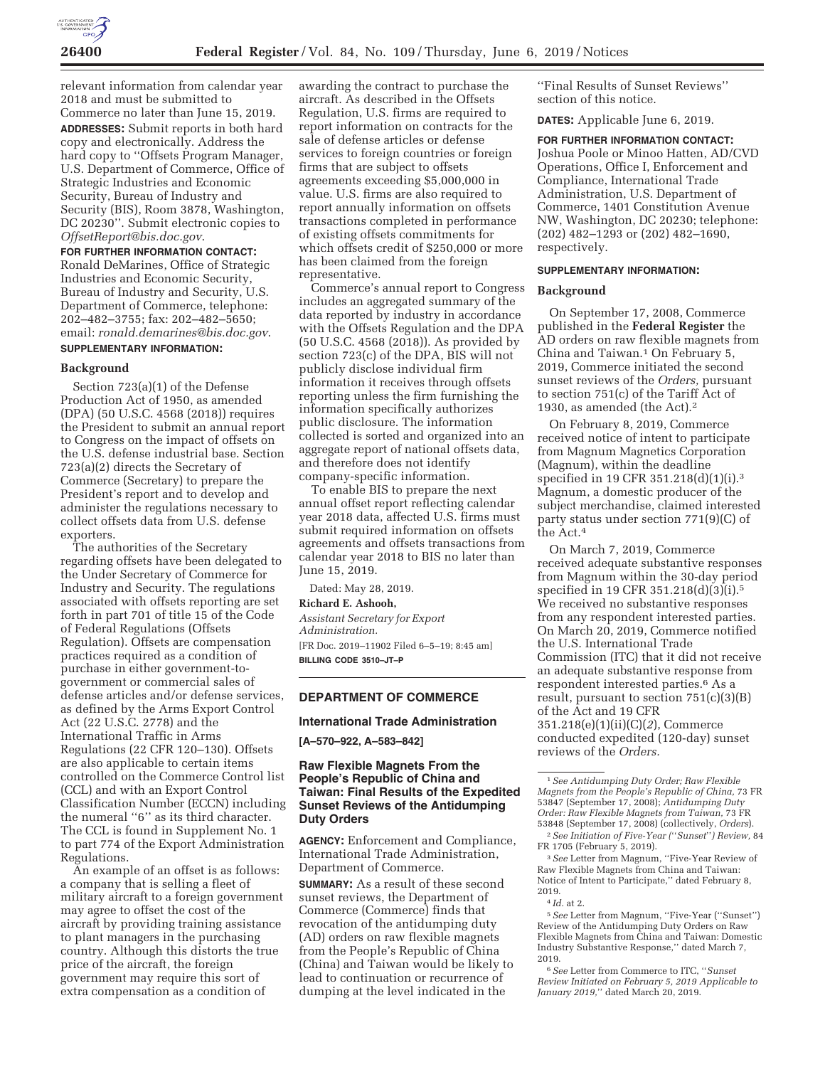

relevant information from calendar year 2018 and must be submitted to Commerce no later than June 15, 2019. **ADDRESSES:** Submit reports in both hard copy and electronically. Address the hard copy to ''Offsets Program Manager, U.S. Department of Commerce, Office of Strategic Industries and Economic Security, Bureau of Industry and Security (BIS), Room 3878, Washington, DC 20230''. Submit electronic copies to *OffsetReport@bis.doc.gov*.

#### **FOR FURTHER INFORMATION CONTACT:**

Ronald DeMarines, Office of Strategic Industries and Economic Security, Bureau of Industry and Security, U.S. Department of Commerce, telephone: 202–482–3755; fax: 202–482–5650; email: *ronald.demarines@bis.doc.gov*.

### **SUPPLEMENTARY INFORMATION:**

### **Background**

Section 723(a)(1) of the Defense Production Act of 1950, as amended (DPA) (50 U.S.C. 4568 (2018)) requires the President to submit an annual report to Congress on the impact of offsets on the U.S. defense industrial base. Section 723(a)(2) directs the Secretary of Commerce (Secretary) to prepare the President's report and to develop and administer the regulations necessary to collect offsets data from U.S. defense exporters.

The authorities of the Secretary regarding offsets have been delegated to the Under Secretary of Commerce for Industry and Security. The regulations associated with offsets reporting are set forth in part 701 of title 15 of the Code of Federal Regulations (Offsets Regulation). Offsets are compensation practices required as a condition of purchase in either government-togovernment or commercial sales of defense articles and/or defense services, as defined by the Arms Export Control Act (22 U.S.C. 2778) and the International Traffic in Arms Regulations (22 CFR 120–130). Offsets are also applicable to certain items controlled on the Commerce Control list (CCL) and with an Export Control Classification Number (ECCN) including the numeral ''6'' as its third character. The CCL is found in Supplement No. 1 to part 774 of the Export Administration Regulations.

An example of an offset is as follows: a company that is selling a fleet of military aircraft to a foreign government may agree to offset the cost of the aircraft by providing training assistance to plant managers in the purchasing country. Although this distorts the true price of the aircraft, the foreign government may require this sort of extra compensation as a condition of

awarding the contract to purchase the aircraft. As described in the Offsets Regulation, U.S. firms are required to report information on contracts for the sale of defense articles or defense services to foreign countries or foreign firms that are subject to offsets agreements exceeding \$5,000,000 in value. U.S. firms are also required to report annually information on offsets transactions completed in performance of existing offsets commitments for which offsets credit of \$250,000 or more has been claimed from the foreign representative.

Commerce's annual report to Congress includes an aggregated summary of the data reported by industry in accordance with the Offsets Regulation and the DPA (50 U.S.C. 4568 (2018)). As provided by section 723(c) of the DPA, BIS will not publicly disclose individual firm information it receives through offsets reporting unless the firm furnishing the information specifically authorizes public disclosure. The information collected is sorted and organized into an aggregate report of national offsets data, and therefore does not identify company-specific information.

To enable BIS to prepare the next annual offset report reflecting calendar year 2018 data, affected U.S. firms must submit required information on offsets agreements and offsets transactions from calendar year 2018 to BIS no later than June 15, 2019.

Dated: May 28, 2019.

**Richard E. Ashooh,** 

*Assistant Secretary for Export Administration.*  [FR Doc. 2019–11902 Filed 6–5–19; 8:45 am] **BILLING CODE 3510–JT–P** 

**DEPARTMENT OF COMMERCE** 

#### **International Trade Administration**

**[A–570–922, A–583–842]** 

# **Raw Flexible Magnets From the People's Republic of China and Taiwan: Final Results of the Expedited Sunset Reviews of the Antidumping Duty Orders**

**AGENCY:** Enforcement and Compliance, International Trade Administration, Department of Commerce.

**SUMMARY:** As a result of these second sunset reviews, the Department of Commerce (Commerce) finds that revocation of the antidumping duty (AD) orders on raw flexible magnets from the People's Republic of China (China) and Taiwan would be likely to lead to continuation or recurrence of dumping at the level indicated in the

''Final Results of Sunset Reviews'' section of this notice.

**DATES:** Applicable June 6, 2019.

**FOR FURTHER INFORMATION CONTACT:**  Joshua Poole or Minoo Hatten, AD/CVD Operations, Office I, Enforcement and Compliance, International Trade Administration, U.S. Department of Commerce, 1401 Constitution Avenue NW, Washington, DC 20230; telephone: (202) 482–1293 or (202) 482–1690, respectively.

#### **SUPPLEMENTARY INFORMATION:**

### **Background**

On September 17, 2008, Commerce published in the **Federal Register** the AD orders on raw flexible magnets from China and Taiwan.1 On February 5, 2019, Commerce initiated the second sunset reviews of the *Orders,* pursuant to section 751(c) of the Tariff Act of 1930, as amended (the Act).2

On February 8, 2019, Commerce received notice of intent to participate from Magnum Magnetics Corporation (Magnum), within the deadline specified in 19 CFR 351.218(d)(1)(i).3 Magnum, a domestic producer of the subject merchandise, claimed interested party status under section 771(9)(C) of the Act.4

On March 7, 2019, Commerce received adequate substantive responses from Magnum within the 30-day period specified in 19 CFR 351.218(d)(3)(i).5 We received no substantive responses from any respondent interested parties. On March 20, 2019, Commerce notified the U.S. International Trade Commission (ITC) that it did not receive an adequate substantive response from respondent interested parties.<sup>6</sup> As a result, pursuant to section  $751(c)(3)(B)$ of the Act and 19 CFR 351.218(e)(1)(ii)(C)(*2*), Commerce conducted expedited (120-day) sunset reviews of the *Orders.* 

3*See* Letter from Magnum, ''Five-Year Review of Raw Flexible Magnets from China and Taiwan: Notice of Intent to Participate,'' dated February 8, 2019.

4 *Id.* at 2.

5*See* Letter from Magnum, ''Five-Year (''Sunset'') Review of the Antidumping Duty Orders on Raw Flexible Magnets from China and Taiwan: Domestic Industry Substantive Response,'' dated March 7, 2019.

6*See* Letter from Commerce to ITC, ''*Sunset Review Initiated on February 5, 2019 Applicable to January 2019,*'' dated March 20, 2019.

<sup>1</sup>*See Antidumping Duty Order; Raw Flexible Magnets from the People's Republic of China,* 73 FR 53847 (September 17, 2008); *Antidumping Duty Order: Raw Flexible Magnets from Taiwan,* 73 FR 53848 (September 17, 2008) (collectively, *Orders*).

<sup>2</sup>*See Initiation of Five-Year (*''*Sunset*''*) Review,* 84 FR 1705 (February 5, 2019).